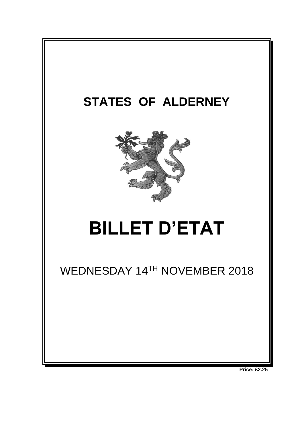

**Price: £2.25**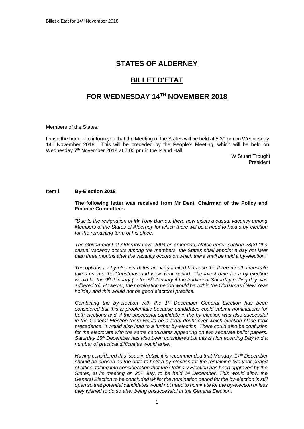## **STATES OF ALDERNEY**

# **BILLET D'ETAT**

## **FOR WEDNESDAY 14 TH NOVEMBER 2018**

Members of the States:

I have the honour to inform you that the Meeting of the States will be held at 5:30 pm on Wednesday 14<sup>th</sup> November 2018. This will be preceded by the People's Meeting, which will be held on Wednesday 7<sup>th</sup> November 2018 at 7:00 pm in the Island Hall.

W Stuart Trought President

#### **Item l By-Election 2018**

#### **The following letter was received from Mr Dent, Chairman of the Policy and Finance Committee:-**

*"Due to the resignation of Mr Tony Barnes, there now exists a casual vacancy among Members of the States of Alderney for which there will be a need to hold a by-election for the remaining term of his office.*

*The Government of Alderney Law, 2004 as amended, states under section 28(3) "If a casual vacancy occurs among the members, the States shall appoint a day not later than three months after the vacancy occurs on which there shall be held a by-election,"*

*The options for by-election dates are very limited because the three month timescale takes us into the Christmas and New Year period. The latest date for a by-election would be the 9th January (or the 5th January if the traditional Saturday polling day was adhered to). However, the nomination period would be within the Christmas / New Year holiday and this would not be good electoral practice.*

*Combining the by-election with the 1st December General Election has been considered but this is problematic because candidates could submit nominations for both elections and, if the successful candidate in the by-election was also successful in the General Election there would be a legal doubt over which election place took precedence. It would also lead to a further by-election. There could also be confusion for the electorate with the same candidates appearing on two separate ballot papers. Saturday 15th December has also been considered but this is Homecoming Day and a number of practical difficulties would arise.*

*Having considered this issue in detail, it is recommended that Monday, 17th December should be chosen as the date to hold a by-election for the remaining two year period of office, taking into consideration that the Ordinary Election has been approved by the States, at its meeting on 25th July, to be held 1st December. This would allow the General Election to be concluded whilst the nomination period for the by-election is still open so that potential candidates would not need to nominate for the by-election unless they wished to do so after being unsuccessful in the General Election.*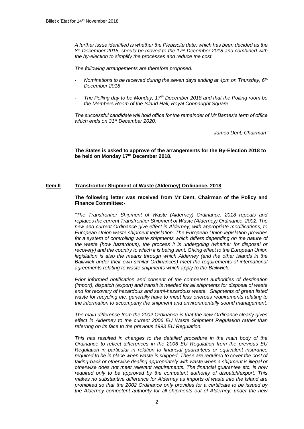*A further issue identified is whether the Plebiscite date, which has been decided as the 8 th December 2018, should be moved to the 17th December 2018 and combined with the by-election to simplify the processes and reduce the cost.* 

*The following arrangements are therefore proposed:*

- *Nominations to be received during the seven days ending at 4pm on Thursday, 6th December 2018*
- *The Polling day to be Monday, 17th December 2018 and that the Polling room be the Members Room of the Island Hall, Royal Connaught Square.*

*The successful candidate will hold office for the remainder of Mr Barnes's term of office which ends on 31st December 2020.*

*James Dent, Chairman"*

**The States is asked to approve of the arrangements for the By-Election 2018 to be held on Monday 17th December 2018.**

#### **Item lI Transfrontier Shipment of Waste (Alderney) Ordinance, 2018**

#### **The following letter was received from Mr Dent, Chairman of the Policy and Finance Committee:-**

*"The Transfrontier Shipment of Waste (Alderney) Ordinance, 2018 repeals and replaces the current Transfrontier Shipment of Waste (Alderney) Ordinance, 2002. The new and current Ordinance give effect in Alderney, with appropriate modifications, to European Union waste shipment legislation. The European Union legislation provides*  for a system of controlling waste shipments which differs depending on the nature of *the waste (how hazardous), the process it is undergoing (whether for disposal or recovery) and the country to which it is being sent. Giving effect to the European Union legislation is also the means through which Alderney (and the other islands in the Bailiwick under their own similar Ordinances) meet the requirements of international agreements relating to waste shipments which apply to the Bailiwick.* 

*Prior informed notification and consent of the competent authorities of destination (import), dispatch (export) and transit is needed for all shipments for disposal of waste and for recovery of hazardous and semi-hazardous waste. Shipments of green listed waste for recycling etc. generally have to meet less onerous requirements relating to the information to accompany the shipment and environmentally sound management.*

*The main difference from the 2002 Ordinance is that the new Ordinance clearly gives effect in Alderney to the current 2006 EU Waste Shipment Regulation rather than referring on its face to the previous 1993 EU Regulation.*

*This has resulted in changes to the detailed procedure in the main body of the Ordinance to reflect differences in the 2006 EU Regulation from the previous EU Regulation in particular in relation to financial guarantees or equivalent insurance required to be in place when waste is shipped. These are required to cover the cost of taking-back or otherwise dealing appropriately with waste when a shipment is illegal or otherwise does not meet relevant requirements. The financial guarantee etc. is now required only to be approved by the competent authority of dispatch/export. This makes no substantive difference for Alderney as imports of waste into the Island are prohibited so that the 2002 Ordinance only provides for a certificate to be issued by the Alderney competent authority for all shipments out of Alderney; under the new*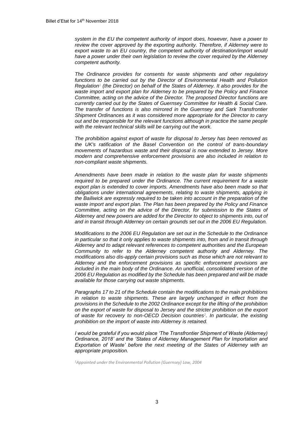*system in the EU the competent authority of import does, however, have a power to review the cover approved by the exporting authority. Therefore, if Alderney were to export waste to an EU country, the competent authority of destination/import would have a power under their own legislation to review the cover required by the Alderney competent authority.*

*The Ordinance provides for consents for waste shipments and other regulatory functions to be carried out by the Director of Environmental Health and Pollution Regulation<sup>1</sup> (the Director) on behalf of the States of Alderney. It also provides for the waste import and export plan for Alderney to be prepared by the Policy and Finance Committee, acting on the advice of the Director. The proposed Director functions are currently carried out by the States of Guernsey Committee for Health & Social Care. The transfer of functions is also mirrored in the Guernsey and Sark Transfrontier Shipment Ordinances as it was considered more appropriate for the Director to carry out and be responsible for the relevant functions although in practice the same people with the relevant technical skills will be carrying out the work.*

*The prohibition against export of waste for disposal to Jersey has been removed as the UK's ratification of the Basel Convention on the control of trans-boundary movements of hazardous waste and their disposal is now extended to Jersey. More modern and comprehensive enforcement provisions are also included in relation to non-compliant waste shipments.*

*Amendments have been made in relation to the waste plan for waste shipments required to be prepared under the Ordinance. The current requirement for a waste export plan is extended to cover imports. Amendments have also been made so that obligations under international agreements, relating to waste shipments, applying in the Bailiwick are expressly required to be taken into account in the preparation of the waste import and export plan. The Plan has been prepared by the Policy and Finance Committee, acting on the advice of the Director, for submission to the States of Alderney and new powers are added for the Director to object to shipments into, out of and in transit through Alderney on certain grounds set out in the 2006 EU Regulation.*

*Modifications to the 2006 EU Regulation are set out in the Schedule to the Ordinance in particular so that it only applies to waste shipments into, from and in transit through Alderney and to adapt relevant references to competent authorities and the European Community to refer to the Alderney competent authority and Alderney. The modifications also dis-apply certain provisions such as those which are not relevant to Alderney and the enforcement provisions as specific enforcement provisions are included in the main body of the Ordinance. An unofficial, consolidated version of the 2006 EU Regulation as modified by the Schedule has been prepared and will be made available for those carrying out waste shipments.*

*Paragraphs 17 to 21 of the Schedule contain the modifications to the main prohibitions*  in relation to waste shipments. These are largely unchanged in effect from the *provisions in the Schedule to the 2002 Ordinance except for the lifting of the prohibition on the export of waste for disposal to Jersey and the stricter prohibition on the export of waste for recovery to non-OECD Decision countries<sup>2</sup> . In particular, the existing prohibition on the import of waste into Alderney is retained.*

*I* would be grateful if you would place 'The Transfrontier Shipment of Waste (Alderney) *Ordinance, 2018' and the 'States of Alderney Management Plan for Importation and Exportation of Waste' before the next meeting of the States of Alderney with an appropriate proposition.*

*1Appointed under the Environmental Pollution (Guernsey) Law, 2004*